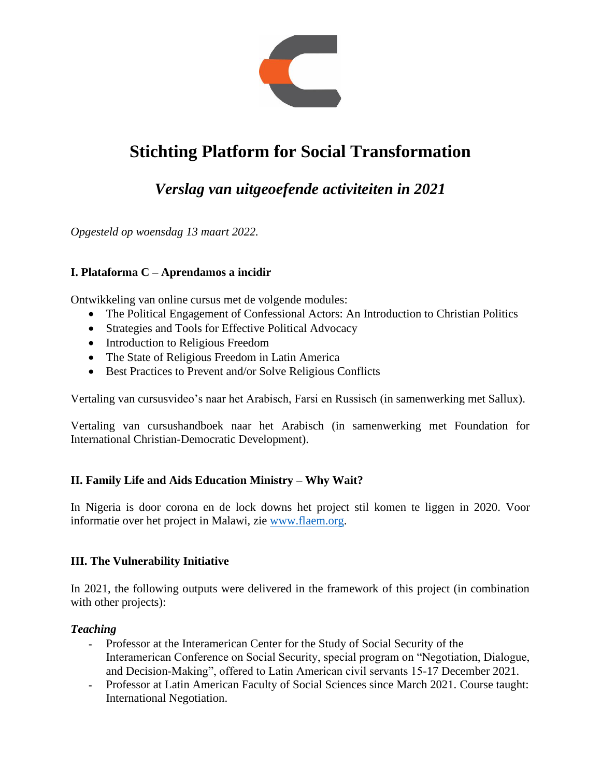

# **Stichting Platform for Social Transformation**

# *Verslag van uitgeoefende activiteiten in 2021*

*Opgesteld op woensdag 13 maart 2022.*

# **I. Plataforma C – Aprendamos a incidir**

Ontwikkeling van online cursus met de volgende modules:

- The Political Engagement of Confessional Actors: An Introduction to Christian Politics
- Strategies and Tools for Effective Political Advocacy
- Introduction to Religious Freedom
- The State of Religious Freedom in Latin America
- Best Practices to Prevent and/or Solve Religious Conflicts

Vertaling van cursusvideo's naar het Arabisch, Farsi en Russisch (in samenwerking met Sallux).

Vertaling van cursushandboek naar het Arabisch (in samenwerking met Foundation for International Christian-Democratic Development).

#### **II. Family Life and Aids Education Ministry – Why Wait?**

In Nigeria is door corona en de lock downs het project stil komen te liggen in 2020. Voor informatie over het project in Malawi, zie [www.flaem.org.](www.flaem.org)

#### **III. The Vulnerability Initiative**

In 2021, the following outputs were delivered in the framework of this project (in combination with other projects):

#### *Teaching*

- Professor at the Interamerican Center for the Study of Social Security of the Interamerican Conference on Social Security, special program on "Negotiation, Dialogue, and Decision-Making", offered to Latin American civil servants 15-17 December 2021.
- Professor at Latin American Faculty of Social Sciences since March 2021. Course taught: International Negotiation.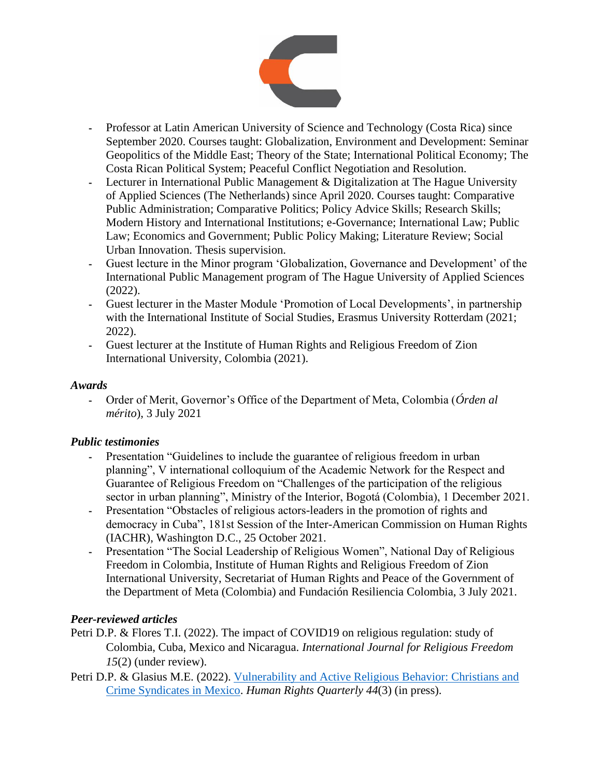

- Professor at Latin American University of Science and Technology (Costa Rica) since September 2020. Courses taught: Globalization, Environment and Development: Seminar Geopolitics of the Middle East; Theory of the State; International Political Economy; The Costa Rican Political System; Peaceful Conflict Negotiation and Resolution.
- Lecturer in International Public Management & Digitalization at The Hague University of Applied Sciences (The Netherlands) since April 2020. Courses taught: Comparative Public Administration; Comparative Politics; Policy Advice Skills; Research Skills; Modern History and International Institutions; e-Governance; International Law; Public Law; Economics and Government; Public Policy Making; Literature Review; Social Urban Innovation. Thesis supervision.
- Guest lecture in the Minor program 'Globalization, Governance and Development' of the International Public Management program of The Hague University of Applied Sciences (2022).
- Guest lecturer in the Master Module 'Promotion of Local Developments', in partnership with the International Institute of Social Studies, Erasmus University Rotterdam (2021; 2022).
- Guest lecturer at the Institute of Human Rights and Religious Freedom of Zion International University, Colombia (2021).

#### *Awards*

- Order of Merit, Governor's Office of the Department of Meta, Colombia (*Órden al mérito*), 3 July 2021

#### *Public testimonies*

- Presentation "Guidelines to include the guarantee of religious freedom in urban planning", V international colloquium of the Academic Network for the Respect and Guarantee of Religious Freedom on "Challenges of the participation of the religious sector in urban planning", Ministry of the Interior, Bogotá (Colombia), 1 December 2021.
- Presentation "Obstacles of religious actors-leaders in the promotion of rights and democracy in Cuba", 181st Session of the Inter-American Commission on Human Rights (IACHR), Washington D.C., 25 October 2021.
- Presentation "The Social Leadership of Religious Women", National Day of Religious Freedom in Colombia, Institute of Human Rights and Religious Freedom of Zion International University, Secretariat of Human Rights and Peace of the Government of the Department of Meta (Colombia) and Fundación Resiliencia Colombia, 3 July 2021.

#### *Peer-reviewed articles*

- Petri D.P. & Flores T.I. (2022). The impact of COVID19 on religious regulation: study of Colombia, Cuba, Mexico and Nicaragua. *International Journal for Religious Freedom 15*(2) (under review).
- Petri D.P. & Glasius M.E. (2022). [Vulnerability and Active Religious Behavior: Christians and](https://pure.uva.nl/ws/files/60761937/Vulnerability_and_Active_Religious_Behaviour_HRQ.doc)  [Crime Syndicates in Mexico.](https://pure.uva.nl/ws/files/60761937/Vulnerability_and_Active_Religious_Behaviour_HRQ.doc) *Human Rights Quarterly 44*(3) (in press).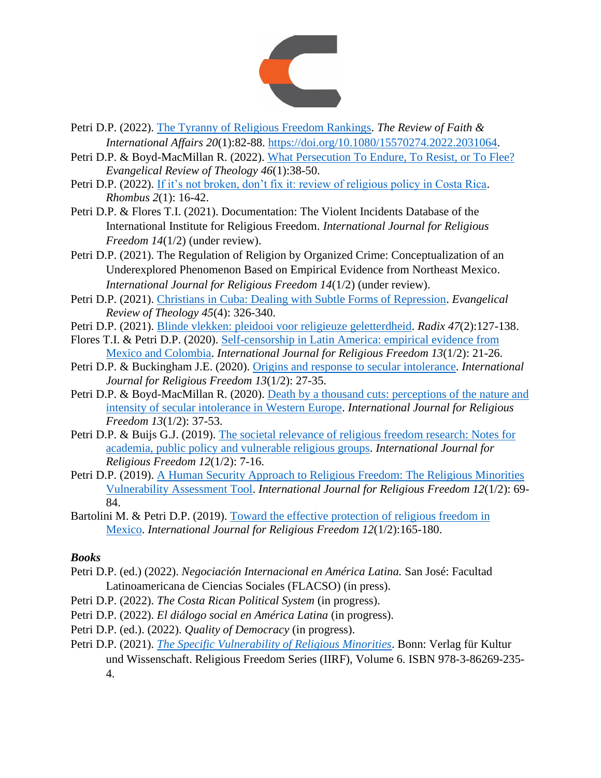

- Petri D.P. (2022). [The Tyranny of Religious Freedom Rankings.](https://platformforsocialtransformation.org/download/religiousfreedom/Petri-The-Tyranny-of-Religious-Freedom-Rankings.pdf) *The Review of Faith & International Affairs 20*(1):82-88. [https://doi.org/10.1080/15570274.2022.2031064.](https://doi.org/10.1080/15570274.2022.2031064)
- Petri D.P. & Boyd-MacMillan R. (2022). [What Persecution To Endure, To Resist, or To Flee?](https://platformforsocialtransformation.org/download/religiousfreedom/Petri-BoydMacMillan-What-Persecution-To-Endure-To-Resist-or-To-Flee.pdf) *Evangelical Review of Theology 46*(1):38-50.
- Petri D.P. (2022). [If it's not broken, don't fix it: review of religious policy in Costa Rica.](https://platformforsocialtransformation.org/download/religiousfreedom/Petri-If-its-not-broken-dont-fix-it-review-of-religious-policy-in-Costa-Rica_2.pdf) *Rhombus 2*(1): 16-42.
- Petri D.P. & Flores T.I. (2021). Documentation: The Violent Incidents Database of the International Institute for Religious Freedom. *International Journal for Religious Freedom 14*(1/2) (under review).
- Petri D.P. (2021). The Regulation of Religion by Organized Crime: Conceptualization of an Underexplored Phenomenon Based on Empirical Evidence from Northeast Mexico. *International Journal for Religious Freedom 14*(1/2) (under review).
- Petri D.P. (2021). [Christians in Cuba: Dealing with Subtle Forms of Repression.](https://platformforsocialtransformation.org/download/religiousfreedom/Petri-Christians-in-Cuba-Dealing-with-Subtle-Forms-of-Repression.pdf) *Evangelical Review of Theology 45*(4): 326-340.
- Petri D.P. (2021). [Blinde vlekken: pleidooi voor religieuze geletterdheid.](https://platformforsocialtransformation.org/download/religiousfreedom/Petri-Blinde-vlekken-pleidooi-voor-religieuze-geletterdheid.pdf) *Radix 47*(2):127-138.
- Flores T.I. & Petri D.P. (2020). [Self-censorship in Latin America: empirical evidence from](https://platformforsocialtransformation.org/download/religiousfreedom/Self-censorship-in-Latin-America.pdf)  [Mexico and Colombia.](https://platformforsocialtransformation.org/download/religiousfreedom/Self-censorship-in-Latin-America.pdf) *International Journal for Religious Freedom 13*(1/2): 21-26.
- Petri D.P. & Buckingham J.E. (2020). [Origins and response to secular intolerance.](https://platformforsocialtransformation.org/download/religiousfreedom/Origins-of-and-responses-to-secular-intolerance.pdf) *International Journal for Religious Freedom 13*(1/2): 27-35.
- Petri D.P. & Boyd-MacMillan R. (2020). [Death by a thousand cuts: perceptions of the](https://platformforsocialtransformation.org/download/religiousfreedom/Death-by-a-thousand-cuts.pdf) nature and [intensity of secular intolerance in Western Europe.](https://platformforsocialtransformation.org/download/religiousfreedom/Death-by-a-thousand-cuts.pdf) *International Journal for Religious Freedom 13*(1/2): 37-53.
- Petri D.P. & Buijs G.J. (2019). [The societal relevance of religious freedom research: Notes for](https://platformforsocialtransformation.org/download/religiousfreedom/Petri-Buijs-The-societal-relevance-of-religious-freedom-research.pdf)  [academia, public policy and vulnerable religious groups.](https://platformforsocialtransformation.org/download/religiousfreedom/Petri-Buijs-The-societal-relevance-of-religious-freedom-research.pdf) *International Journal for Religious Freedom 12*(1/2): 7-16.
- Petri D.P. (2019). [A Human Security Approach to Religious Freedom: The Religious Minorities](https://platformforsocialtransformation.org/download/religiousfreedom/Petri-A-human-security-approach-to-religious-freedom.pdf)  [Vulnerability Assessment Tool.](https://platformforsocialtransformation.org/download/religiousfreedom/Petri-A-human-security-approach-to-religious-freedom.pdf) *International Journal for Religious Freedom 12*(1/2): 69- 84.
- Bartolini M. & Petri D.P. (2019). [Toward the effective protection of religious freedom in](https://platformforsocialtransformation.org/download/religiousfreedom/Bartolini-Toward-the-effective-protection-of-religious-freedom-in-Mexico.pdf)  [Mexico.](https://platformforsocialtransformation.org/download/religiousfreedom/Bartolini-Toward-the-effective-protection-of-religious-freedom-in-Mexico.pdf) *International Journal for Religious Freedom 12*(1/2):165-180.

# *Books*

- Petri D.P. (ed.) (2022). *Negociación Internacional en América Latina.* San José: Facultad Latinoamericana de Ciencias Sociales (FLACSO) (in press).
- Petri D.P. (2022). *The Costa Rican Political System* (in progress).
- Petri D.P. (2022). *El diálogo social en América Latina* (in progress).
- Petri D.P. (ed.). (2022). *Quality of Democracy* (in progress).
- Petri D.P. (2021). *[The Specific Vulnerability of Religious Minorities](https://iirf.global/publications/books/the-specific-vulnerability-of-religious-minorities/)*. Bonn: Verlag für Kultur und Wissenschaft. Religious Freedom Series (IIRF), Volume 6. ISBN 978-3-86269-235- 4.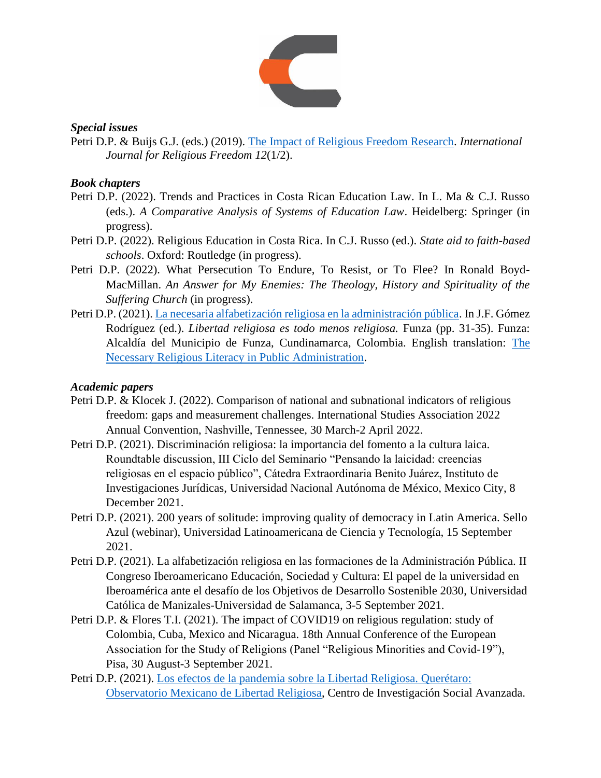

#### *Special issues*

Petri D.P. & Buijs G.J. (eds.) (2019). [The Impact of Religious Freedom Research.](https://platformforsocialtransformation.org/download/religiousfreedom/IJRF-The-Impact-of-Religious-Freedom-Research.pdf) *International Journal for Religious Freedom 12*(1/2).

### *Book chapters*

- Petri D.P. (2022). Trends and Practices in Costa Rican Education Law. In L. Ma & C.J. Russo (eds.). *A Comparative Analysis of Systems of Education Law*. Heidelberg: Springer (in progress).
- Petri D.P. (2022). Religious Education in Costa Rica. In C.J. Russo (ed.). *State aid to faith-based schools*. Oxford: Routledge (in progress).
- Petri D.P. (2022). What Persecution To Endure, To Resist, or To Flee? In Ronald Boyd-MacMillan. *An Answer for My Enemies: The Theology, History and Spirituality of the Suffering Church* (in progress).
- Petri D.P. (2021). [La necesaria alfabetización religiosa en la administración pública.](https://platformforsocialtransformation.org/download/religiousfreedom/Petri-La-necesaria-alfabetizacion-religiosa-en-la-administracion-publica.pdf) In J.F. Gómez Rodríguez (ed.). *Libertad religiosa es todo menos religiosa.* Funza (pp. 31-35). Funza: Alcaldía del Municipio de Funza, Cundinamarca, Colombia. English translation: [The](https://platformforsocialtransformation.org/download/religiousfreedom/Petri-The-necessary-religious-literacy-in-public-administration_2.pdf)  [Necessary Religious Literacy in Public Administration.](https://platformforsocialtransformation.org/download/religiousfreedom/Petri-The-necessary-religious-literacy-in-public-administration_2.pdf)

#### *Academic papers*

- Petri D.P. & Klocek J. (2022). Comparison of national and subnational indicators of religious freedom: gaps and measurement challenges. International Studies Association 2022 Annual Convention, Nashville, Tennessee, 30 March-2 April 2022.
- Petri D.P. (2021). Discriminación religiosa: la importancia del fomento a la cultura laica. Roundtable discussion, III Ciclo del Seminario "Pensando la laicidad: creencias religiosas en el espacio público", Cátedra Extraordinaria Benito Juárez, Instituto de Investigaciones Jurídicas, Universidad Nacional Autónoma de México, Mexico City, 8 December 2021.
- Petri D.P. (2021). 200 years of solitude: improving quality of democracy in Latin America. Sello Azul (webinar), Universidad Latinoamericana de Ciencia y Tecnología, 15 September 2021.
- Petri D.P. (2021). La alfabetización religiosa en las formaciones de la Administración Pública. II Congreso Iberoamericano Educación, Sociedad y Cultura: El papel de la universidad en Iberoamérica ante el desafío de los Objetivos de Desarrollo Sostenible 2030, Universidad Católica de Manizales-Universidad de Salamanca, 3-5 September 2021.
- Petri D.P. & Flores T.I. (2021). The impact of COVID19 on religious regulation: study of Colombia, Cuba, Mexico and Nicaragua. 18th Annual Conference of the European Association for the Study of Religions (Panel "Religious Minorities and Covid-19"), Pisa, 30 August-3 September 2021.
- Petri D.P. (2021). [Los efectos de la pandemia sobre la Libertad Religiosa. Querétaro:](https://cisav.mx/2021/08/27/los-efectos-de-la-pandemia-sobre-la-libertad-religiosa/)  [Observatorio Mexicano de Libertad Religiosa,](https://cisav.mx/2021/08/27/los-efectos-de-la-pandemia-sobre-la-libertad-religiosa/) Centro de Investigación Social Avanzada.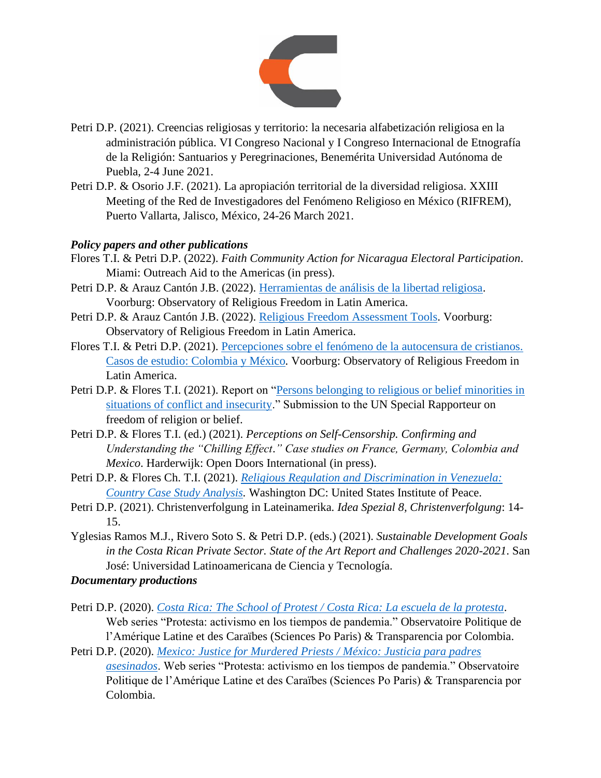

- Petri D.P. (2021). Creencias religiosas y territorio: la necesaria alfabetización religiosa en la administración pública. VI Congreso Nacional y I Congreso Internacional de Etnografía de la Religión: Santuarios y Peregrinaciones, Benemérita Universidad Autónoma de Puebla, 2-4 June 2021.
- Petri D.P. & Osorio J.F. (2021). La apropiación territorial de la diversidad religiosa. XXIII Meeting of the Red de Investigadores del Fenómeno Religioso en México (RIFREM), Puerto Vallarta, Jalisco, México, 24-26 March 2021.

#### *Policy papers and other publications*

- Flores T.I. & Petri D.P. (2022). *Faith Community Action for Nicaragua Electoral Participation*. Miami: Outreach Aid to the Americas (in press).
- Petri D.P. & Arauz Cantón J.B. (2022). [Herramientas de análisis de la libertad religiosa.](https://platformforsocialtransformation.org/download/religiousfreedom/Herramientas-de-analisis-de-libertad-religiosa.-Dennis-Petri-Bernie-Arauz-C.-2022.pdf) Voorburg: Observatory of Religious Freedom in Latin America.
- Petri D.P. & Arauz Cantón J.B. (2022). [Religious Freedom Assessment Tools.](https://platformforsocialtransformation.org/download/religiousfreedom/Religious-Freedom-Assessment-Tools.-Dennis-Petri-.-Bernie-Arauz-C.-2022.pdf) Voorburg: Observatory of Religious Freedom in Latin America.
- Flores T.I. & Petri D.P. (2021). [Percepciones sobre el fenómeno de la autocensura de cristianos.](https://platformforsocialtransformation.org/download/religiousfreedom/Flores-Petri-Percepciones-sobre-el-fenomeno-de-la-autocensura-de-cristianos.-Col-y-Mex.-Dic-2021.pdf)  [Casos de estudio: Colombia y México](https://platformforsocialtransformation.org/download/religiousfreedom/Flores-Petri-Percepciones-sobre-el-fenomeno-de-la-autocensura-de-cristianos.-Col-y-Mex.-Dic-2021.pdf)*.* Voorburg: Observatory of Religious Freedom in Latin America.
- Petri D.P. & Flores T.I. (2021). Report on ["Persons belonging to religious or belief minorities in](https://platformforsocialtransformation.org/download/religiousfreedom/HRC49-UN-Submission-Observatory-of-Religious-Freedom-in-Latin-America_3.pdf)  [situations of conflict and insecurity.](https://platformforsocialtransformation.org/download/religiousfreedom/HRC49-UN-Submission-Observatory-of-Religious-Freedom-in-Latin-America_3.pdf)" Submission to the UN Special Rapporteur on freedom of religion or belief.
- Petri D.P. & Flores T.I. (ed.) (2021). *Perceptions on Self-Censorship. Confirming and Understanding the "Chilling Effect*.*" Case studies on France, Germany, Colombia and Mexico*. Harderwijk: Open Doors International (in press).
- Petri D.P. & Flores Ch. T.I. (2021). *[Religious Regulation and Discrimination in Venezuela:](https://platformforsocialtransformation.org/download/religiousfreedom/Petri-Flores-Country-case-study-analysis-of-religious-regulation-and-discrimination-in-Venezuela.pdf)  [Country Case Study Analysis.](https://platformforsocialtransformation.org/download/religiousfreedom/Petri-Flores-Country-case-study-analysis-of-religious-regulation-and-discrimination-in-Venezuela.pdf)* Washington DC: United States Institute of Peace.
- Petri D.P. (2021). Christenverfolgung in Lateinamerika. *Idea Spezial 8, Christenverfolgung*: 14- 15.
- Yglesias Ramos M.J., Rivero Soto S. & Petri D.P. (eds.) (2021). *Sustainable Development Goals in the Costa Rican Private Sector. State of the Art Report and Challenges 2020-2021*. San José: Universidad Latinoamericana de Ciencia y Tecnología.

#### *Documentary productions*

- Petri D.P. (2020). *[Costa Rica: The School of Protest / Costa Rica: La escuela de la protesta](https://www.youtube.com/watch?v=g0klo3E9tlE&t=1s)*. Web series "Protesta: activismo en los tiempos de pandemia." Observatoire Politique de l'Amérique Latine et des Caraïbes (Sciences Po Paris) & Transparencia por Colombia.
- Petri D.P. (2020). *[Mexico: Justice for Murdered Priests / México: Justicia para padres](https://www.youtube.com/watch?v=z5HC2zmjI2Y)  [asesinados](https://www.youtube.com/watch?v=z5HC2zmjI2Y)*. Web series "Protesta: activismo en los tiempos de pandemia." Observatoire Politique de l'Amérique Latine et des Caraïbes (Sciences Po Paris) & Transparencia por Colombia.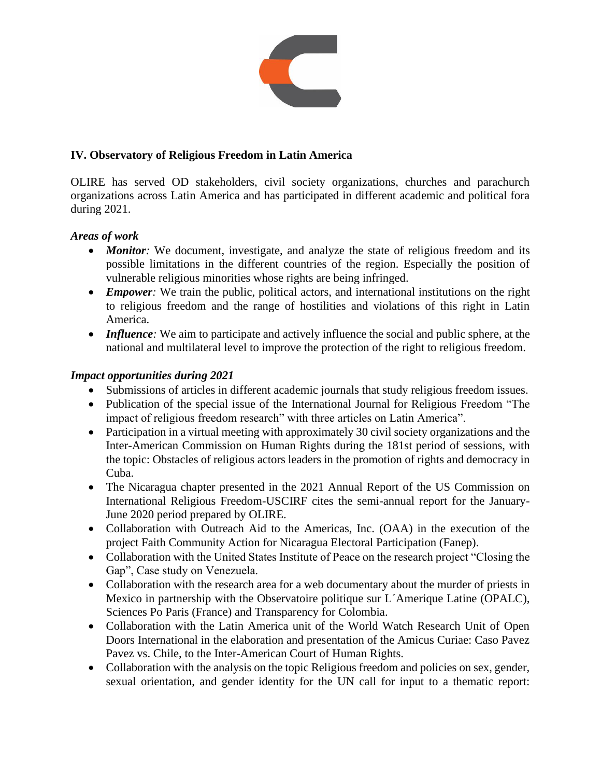

# **IV. Observatory of Religious Freedom in Latin America**

OLIRE has served OD stakeholders, civil society organizations, churches and parachurch organizations across Latin America and has participated in different academic and political fora during 2021.

#### *Areas of work*

- *Monitor*: We document, investigate, and analyze the state of religious freedom and its possible limitations in the different countries of the region. Especially the position of vulnerable religious minorities whose rights are being infringed.
- *Empower*: We train the public, political actors, and international institutions on the right to religious freedom and the range of hostilities and violations of this right in Latin America.
- *Influence*: We aim to participate and actively influence the social and public sphere, at the national and multilateral level to improve the protection of the right to religious freedom.

#### *Impact opportunities during 2021*

- Submissions of articles in different academic journals that study religious freedom issues.
- Publication of the special issue of the International Journal for Religious Freedom "The impact of religious freedom research" with three articles on Latin America".
- Participation in a virtual meeting with approximately 30 civil society organizations and the Inter-American Commission on Human Rights during the 181st period of sessions, with the topic: Obstacles of religious actors leaders in the promotion of rights and democracy in Cuba.
- The Nicaragua chapter presented in the 2021 Annual Report of the US Commission on International Religious Freedom-USCIRF cites the semi-annual report for the January-June 2020 period prepared by OLIRE.
- Collaboration with Outreach Aid to the Americas, Inc. (OAA) in the execution of the project Faith Community Action for Nicaragua Electoral Participation (Fanep).
- Collaboration with the United States Institute of Peace on the research project "Closing the Gap", Case study on Venezuela.
- Collaboration with the research area for a web documentary about the murder of priests in Mexico in partnership with the Observatoire politique sur L´Amerique Latine (OPALC), Sciences Po Paris (France) and Transparency for Colombia.
- Collaboration with the Latin America unit of the World Watch Research Unit of Open Doors International in the elaboration and presentation of the Amicus Curiae: Caso Pavez Pavez vs. Chile, to the Inter-American Court of Human Rights.
- Collaboration with the analysis on the topic Religious freedom and policies on sex, gender, sexual orientation, and gender identity for the UN call for input to a thematic report: